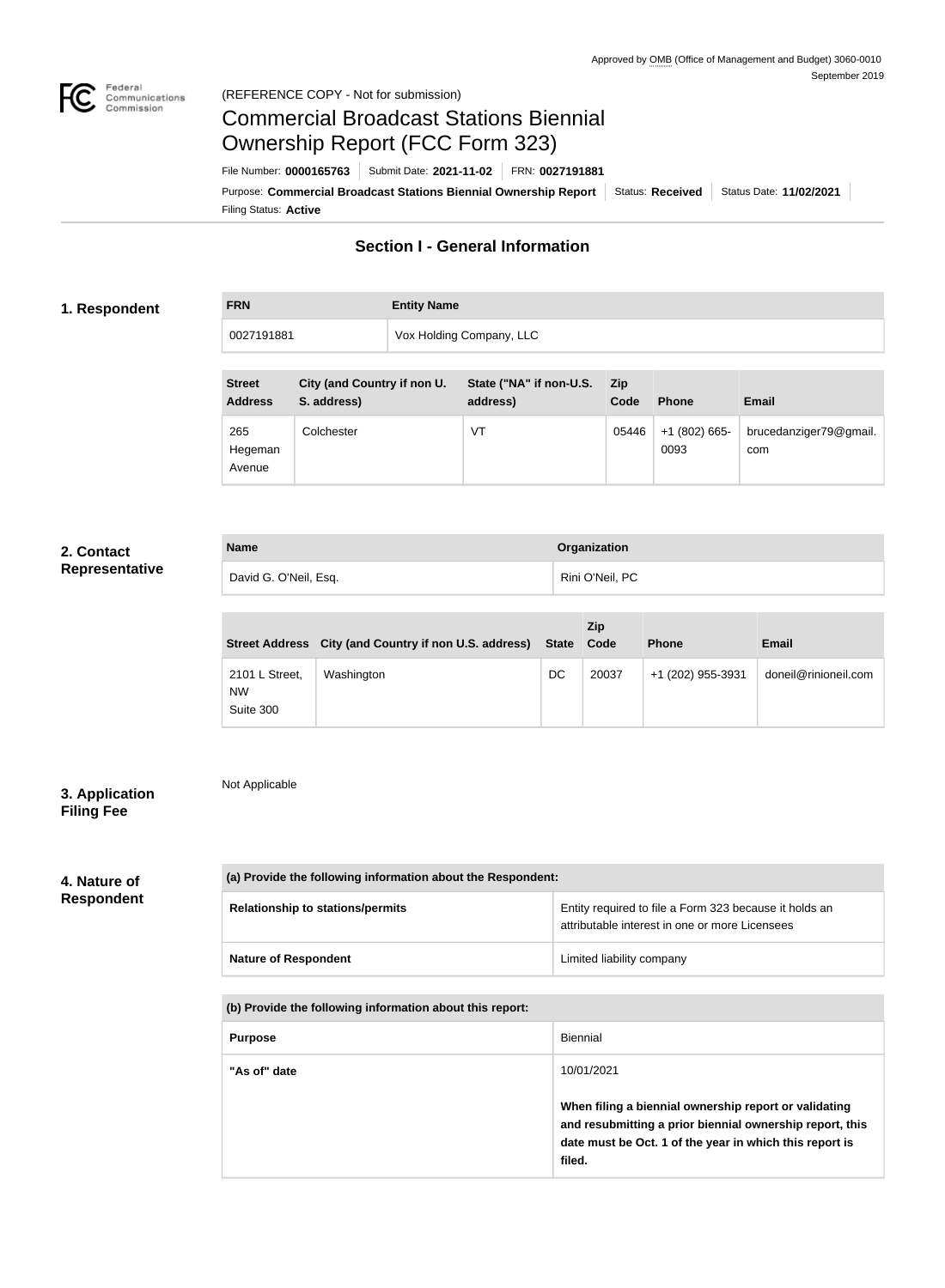

## Federal<br>Communications<br>Commission (REFERENCE COPY - Not for submission)

# Commercial Broadcast Stations Biennial Ownership Report (FCC Form 323)

Filing Status: **Active** Purpose: Commercial Broadcast Stations Biennial Ownership Report Status: Received | Status Date: 11/02/2021 File Number: **0000165763** Submit Date: **2021-11-02** FRN: **0027191881**

## **Section I - General Information**

## **1. Respondent**

| <b>FRN</b> | <b>Entity Name</b>       |
|------------|--------------------------|
| 0027191881 | Vox Holding Company, LLC |
|            |                          |

| <b>Street</b><br><b>Address</b> | City (and Country if non U.<br>S. address) | State ("NA" if non-U.S.<br>address) | <b>Zip</b><br>Code | <b>Phone</b>            | <b>Email</b>                  |
|---------------------------------|--------------------------------------------|-------------------------------------|--------------------|-------------------------|-------------------------------|
| 265<br>Hegeman<br>Avenue        | Colchester                                 | VT                                  | 05446              | $+1$ (802) 665-<br>0093 | brucedanziger79@gmail.<br>com |

## **2. Contact Representative**

| <b>Name</b>           | Organization                 |
|-----------------------|------------------------------|
| David G. O'Neil, Esq. | <sup>'</sup> Rini O'Neil, PC |

|                                          | Street Address City (and Country if non U.S. address) State Code |    | <b>Zip</b> | <b>Phone</b>      | <b>Email</b>         |
|------------------------------------------|------------------------------------------------------------------|----|------------|-------------------|----------------------|
| 2101 L Street,<br><b>NW</b><br>Suite 300 | Washington                                                       | DC | 20037      | +1 (202) 955-3931 | doneil@rinioneil.com |

## **3. Application Filing Fee**

Not Applicable

# **4. Nature of**

# **Respondent**

| (a) Provide the following information about the Respondent: |                                                                                                          |  |  |
|-------------------------------------------------------------|----------------------------------------------------------------------------------------------------------|--|--|
| <b>Relationship to stations/permits</b>                     | Entity required to file a Form 323 because it holds an<br>attributable interest in one or more Licensees |  |  |
| <b>Nature of Respondent</b>                                 | Limited liability company                                                                                |  |  |

**(b) Provide the following information about this report:**

| <b>Purpose</b> | Biennial                                                                                                                                                                               |
|----------------|----------------------------------------------------------------------------------------------------------------------------------------------------------------------------------------|
| "As of" date   | 10/01/2021                                                                                                                                                                             |
|                | When filing a biennial ownership report or validating<br>and resubmitting a prior biennial ownership report, this<br>date must be Oct. 1 of the year in which this report is<br>filed. |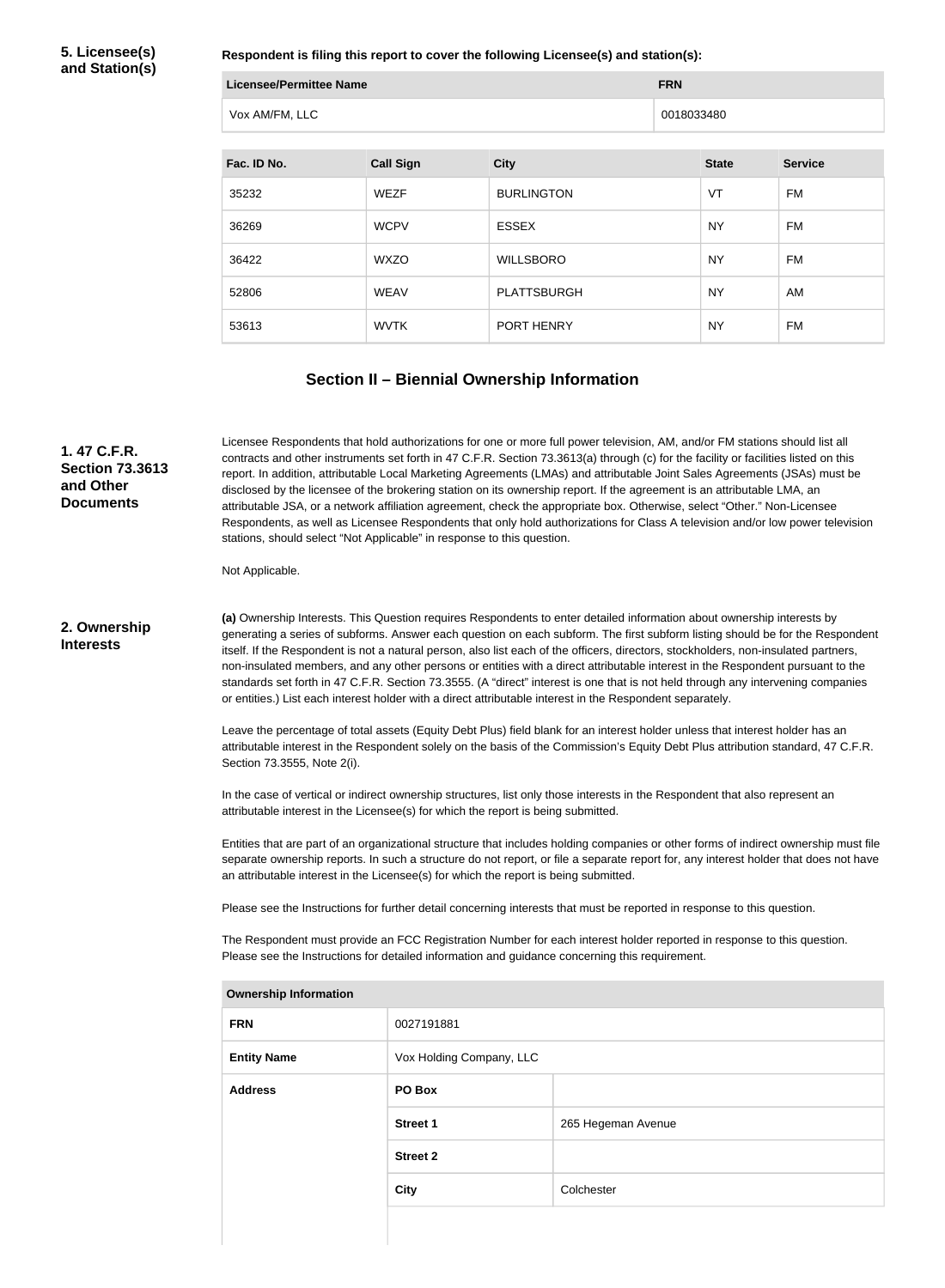**5. Licensee(s) and Station(s)**

**Respondent is filing this report to cover the following Licensee(s) and station(s):**

| Licensee/Permittee Name | <b>FRN</b> |
|-------------------------|------------|
| Vox AM/FM, LLC          | 0018033480 |

| Fac. ID No. | <b>Call Sign</b> | <b>City</b>        | <b>State</b> | <b>Service</b> |
|-------------|------------------|--------------------|--------------|----------------|
| 35232       | <b>WEZF</b>      | <b>BURLINGTON</b>  | VT           | FM             |
| 36269       | <b>WCPV</b>      | <b>ESSEX</b>       | <b>NY</b>    | FM             |
| 36422       | <b>WXZO</b>      | <b>WILLSBORO</b>   | <b>NY</b>    | FM             |
| 52806       | <b>WEAV</b>      | <b>PLATTSBURGH</b> | <b>NY</b>    | AM             |
| 53613       | <b>WVTK</b>      | PORT HENRY         | <b>NY</b>    | FM             |

# **Section II – Biennial Ownership Information**

| 1.47 C.F.R.<br><b>Section 73.3613</b><br>and Other<br><b>Documents</b> | Licensee Respondents that hold authorizations for one or more full power television, AM, and/or FM stations should list all<br>contracts and other instruments set forth in 47 C.F.R. Section 73.3613(a) through (c) for the facility or facilities listed on this<br>report. In addition, attributable Local Marketing Agreements (LMAs) and attributable Joint Sales Agreements (JSAs) must be<br>disclosed by the licensee of the brokering station on its ownership report. If the agreement is an attributable LMA, an<br>attributable JSA, or a network affiliation agreement, check the appropriate box. Otherwise, select "Other." Non-Licensee<br>Respondents, as well as Licensee Respondents that only hold authorizations for Class A television and/or low power television<br>stations, should select "Not Applicable" in response to this question. |                 |                                                                                                                                                                                                                                                                   |  |  |
|------------------------------------------------------------------------|--------------------------------------------------------------------------------------------------------------------------------------------------------------------------------------------------------------------------------------------------------------------------------------------------------------------------------------------------------------------------------------------------------------------------------------------------------------------------------------------------------------------------------------------------------------------------------------------------------------------------------------------------------------------------------------------------------------------------------------------------------------------------------------------------------------------------------------------------------------------|-----------------|-------------------------------------------------------------------------------------------------------------------------------------------------------------------------------------------------------------------------------------------------------------------|--|--|
|                                                                        | Not Applicable.                                                                                                                                                                                                                                                                                                                                                                                                                                                                                                                                                                                                                                                                                                                                                                                                                                                    |                 |                                                                                                                                                                                                                                                                   |  |  |
| 2. Ownership<br><b>Interests</b>                                       | (a) Ownership Interests. This Question requires Respondents to enter detailed information about ownership interests by<br>generating a series of subforms. Answer each question on each subform. The first subform listing should be for the Respondent<br>itself. If the Respondent is not a natural person, also list each of the officers, directors, stockholders, non-insulated partners,<br>non-insulated members, and any other persons or entities with a direct attributable interest in the Respondent pursuant to the<br>standards set forth in 47 C.F.R. Section 73.3555. (A "direct" interest is one that is not held through any intervening companies<br>or entities.) List each interest holder with a direct attributable interest in the Respondent separately.                                                                                  |                 |                                                                                                                                                                                                                                                                   |  |  |
|                                                                        | Section 73.3555, Note 2(i).                                                                                                                                                                                                                                                                                                                                                                                                                                                                                                                                                                                                                                                                                                                                                                                                                                        |                 | Leave the percentage of total assets (Equity Debt Plus) field blank for an interest holder unless that interest holder has an<br>attributable interest in the Respondent solely on the basis of the Commission's Equity Debt Plus attribution standard, 47 C.F.R. |  |  |
|                                                                        | In the case of vertical or indirect ownership structures, list only those interests in the Respondent that also represent an<br>attributable interest in the Licensee(s) for which the report is being submitted.                                                                                                                                                                                                                                                                                                                                                                                                                                                                                                                                                                                                                                                  |                 |                                                                                                                                                                                                                                                                   |  |  |
|                                                                        | Entities that are part of an organizational structure that includes holding companies or other forms of indirect ownership must file<br>separate ownership reports. In such a structure do not report, or file a separate report for, any interest holder that does not have<br>an attributable interest in the Licensee(s) for which the report is being submitted.                                                                                                                                                                                                                                                                                                                                                                                                                                                                                               |                 |                                                                                                                                                                                                                                                                   |  |  |
|                                                                        |                                                                                                                                                                                                                                                                                                                                                                                                                                                                                                                                                                                                                                                                                                                                                                                                                                                                    |                 | Please see the Instructions for further detail concerning interests that must be reported in response to this question.                                                                                                                                           |  |  |
|                                                                        | Please see the Instructions for detailed information and guidance concerning this requirement.                                                                                                                                                                                                                                                                                                                                                                                                                                                                                                                                                                                                                                                                                                                                                                     |                 | The Respondent must provide an FCC Registration Number for each interest holder reported in response to this question.                                                                                                                                            |  |  |
|                                                                        | <b>Ownership Information</b>                                                                                                                                                                                                                                                                                                                                                                                                                                                                                                                                                                                                                                                                                                                                                                                                                                       |                 |                                                                                                                                                                                                                                                                   |  |  |
|                                                                        | <b>FRN</b>                                                                                                                                                                                                                                                                                                                                                                                                                                                                                                                                                                                                                                                                                                                                                                                                                                                         | 0027191881      |                                                                                                                                                                                                                                                                   |  |  |
|                                                                        | Vox Holding Company, LLC<br><b>Entity Name</b>                                                                                                                                                                                                                                                                                                                                                                                                                                                                                                                                                                                                                                                                                                                                                                                                                     |                 |                                                                                                                                                                                                                                                                   |  |  |
|                                                                        | <b>Address</b>                                                                                                                                                                                                                                                                                                                                                                                                                                                                                                                                                                                                                                                                                                                                                                                                                                                     | PO Box          |                                                                                                                                                                                                                                                                   |  |  |
|                                                                        |                                                                                                                                                                                                                                                                                                                                                                                                                                                                                                                                                                                                                                                                                                                                                                                                                                                                    | <b>Street 1</b> | 265 Hegeman Avenue                                                                                                                                                                                                                                                |  |  |
|                                                                        |                                                                                                                                                                                                                                                                                                                                                                                                                                                                                                                                                                                                                                                                                                                                                                                                                                                                    | <b>Street 2</b> |                                                                                                                                                                                                                                                                   |  |  |
|                                                                        |                                                                                                                                                                                                                                                                                                                                                                                                                                                                                                                                                                                                                                                                                                                                                                                                                                                                    | <b>City</b>     | Colchester                                                                                                                                                                                                                                                        |  |  |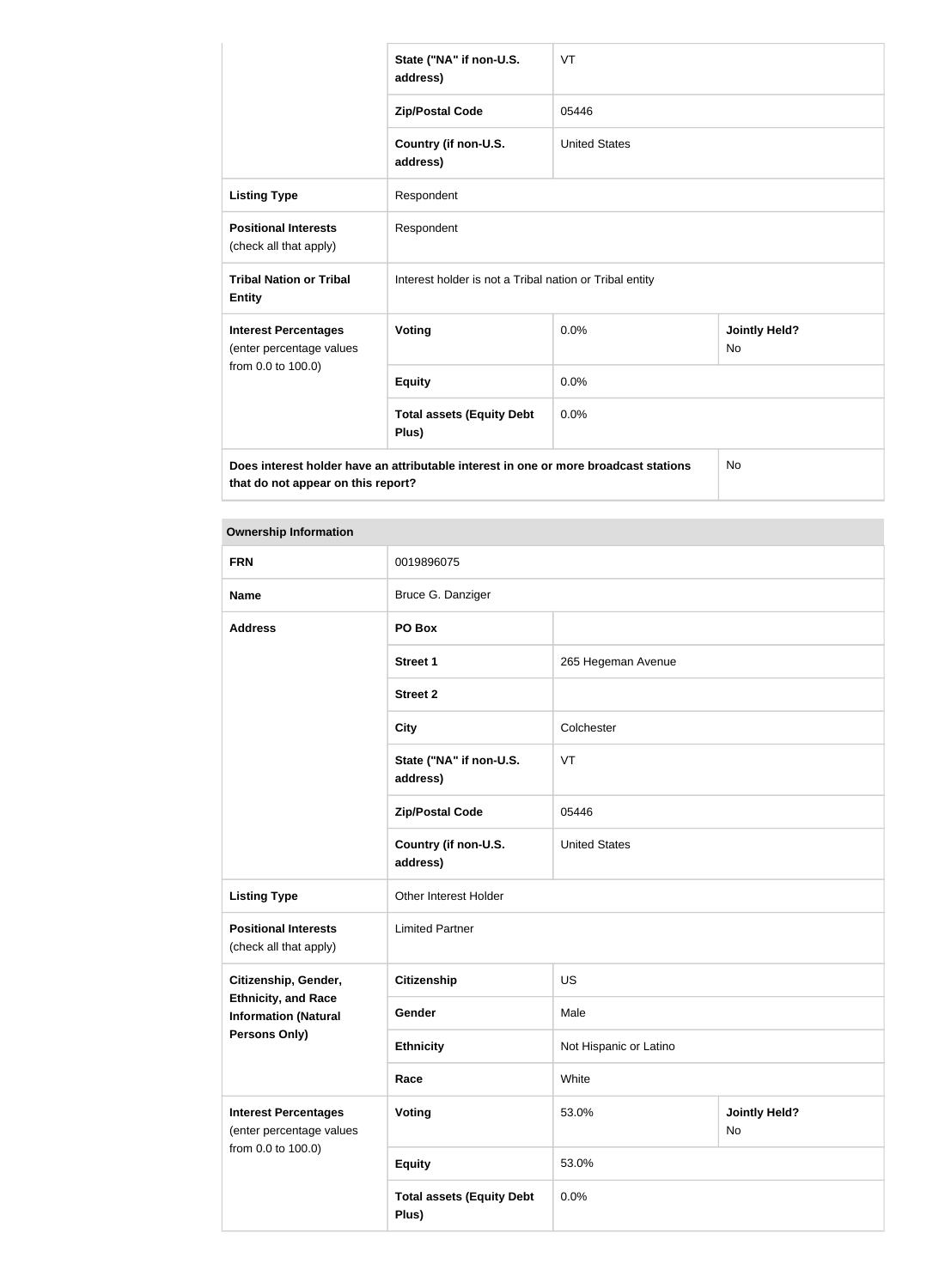|                                                         | State ("NA" if non-U.S.<br>address)                                                  | VT                   |                                   |
|---------------------------------------------------------|--------------------------------------------------------------------------------------|----------------------|-----------------------------------|
|                                                         | <b>Zip/Postal Code</b>                                                               | 05446                |                                   |
|                                                         | Country (if non-U.S.<br>address)                                                     | <b>United States</b> |                                   |
| <b>Listing Type</b>                                     | Respondent                                                                           |                      |                                   |
| <b>Positional Interests</b><br>(check all that apply)   | Respondent                                                                           |                      |                                   |
| <b>Tribal Nation or Tribal</b><br><b>Entity</b>         | Interest holder is not a Tribal nation or Tribal entity                              |                      |                                   |
| <b>Interest Percentages</b><br>(enter percentage values | <b>Voting</b>                                                                        | 0.0%                 | <b>Jointly Held?</b><br><b>No</b> |
| from 0.0 to 100.0)                                      | <b>Equity</b>                                                                        | 0.0%                 |                                   |
|                                                         | <b>Total assets (Equity Debt</b><br>Plus)                                            | 0.0%                 |                                   |
|                                                         | Does interest holder have an attributable interest in one or more broadcast stations |                      | <b>No</b>                         |

that do not appear on this report?

| <b>Ownership Information</b>                                                  |                                           |                        |                            |  |
|-------------------------------------------------------------------------------|-------------------------------------------|------------------------|----------------------------|--|
| <b>FRN</b>                                                                    | 0019896075                                |                        |                            |  |
| <b>Name</b>                                                                   | Bruce G. Danziger                         |                        |                            |  |
| <b>Address</b>                                                                | PO Box                                    |                        |                            |  |
|                                                                               | <b>Street 1</b>                           | 265 Hegeman Avenue     |                            |  |
|                                                                               | <b>Street 2</b>                           |                        |                            |  |
|                                                                               | <b>City</b>                               | Colchester             |                            |  |
|                                                                               | State ("NA" if non-U.S.<br>address)       | VT                     |                            |  |
|                                                                               | <b>Zip/Postal Code</b>                    | 05446                  |                            |  |
|                                                                               | Country (if non-U.S.<br>address)          | <b>United States</b>   |                            |  |
| <b>Listing Type</b>                                                           | Other Interest Holder                     |                        |                            |  |
| <b>Positional Interests</b><br>(check all that apply)                         | <b>Limited Partner</b>                    |                        |                            |  |
| Citizenship, Gender,                                                          | <b>Citizenship</b>                        | <b>US</b>              |                            |  |
| <b>Ethnicity, and Race</b><br><b>Information (Natural</b>                     | Gender                                    | Male                   |                            |  |
| <b>Persons Only)</b>                                                          | <b>Ethnicity</b>                          | Not Hispanic or Latino |                            |  |
|                                                                               | Race                                      | White                  |                            |  |
| <b>Interest Percentages</b><br>(enter percentage values<br>from 0.0 to 100.0) | <b>Voting</b>                             | 53.0%                  | <b>Jointly Held?</b><br>No |  |
|                                                                               | <b>Equity</b>                             | 53.0%                  |                            |  |
|                                                                               | <b>Total assets (Equity Debt</b><br>Plus) | 0.0%                   |                            |  |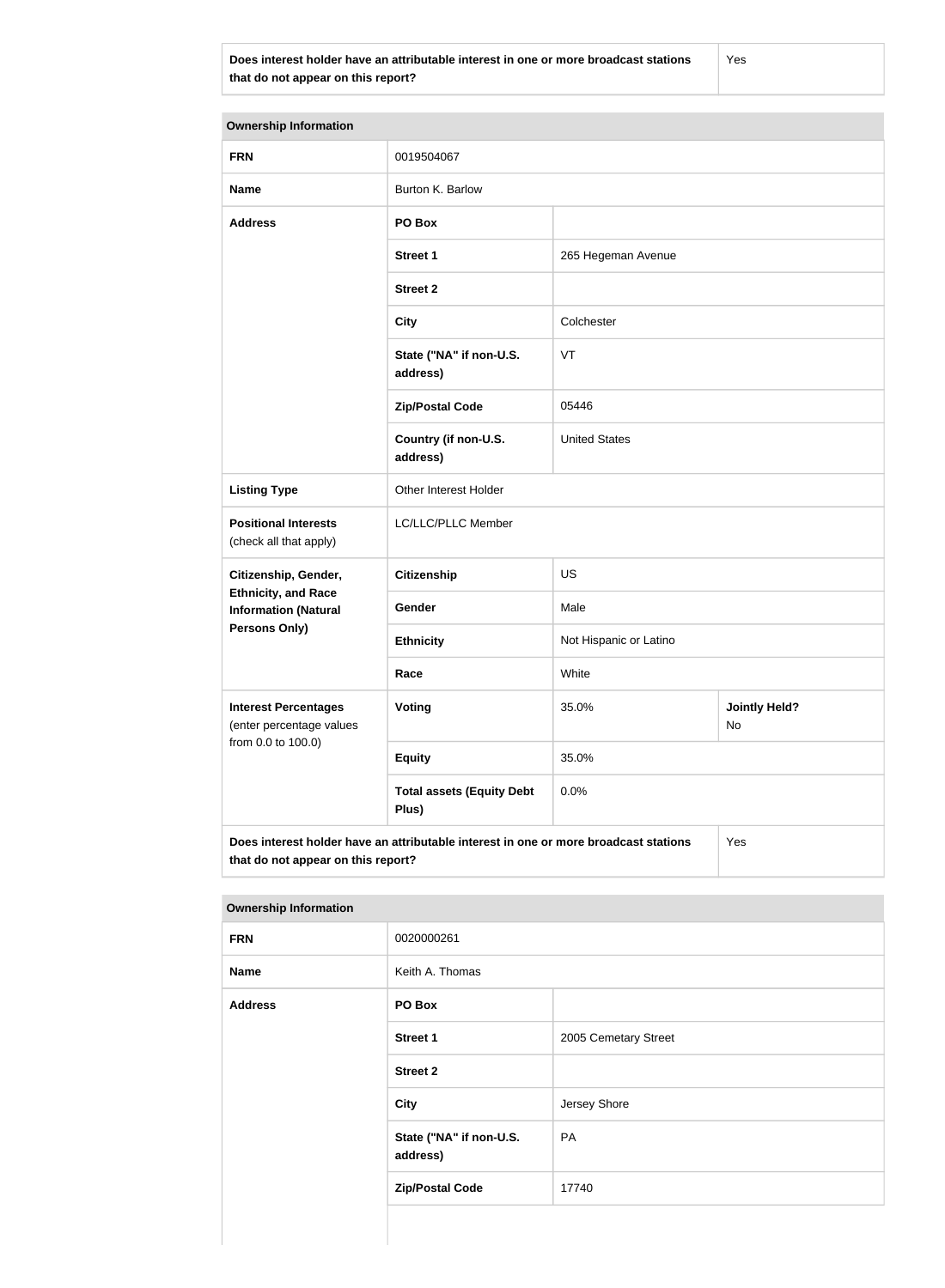**Does interest holder have an attributable interest in one or more broadcast stations that do not appear on this report?**

Yes

| <b>Ownership Information</b>                                                                                                      |                                           |                        |                            |  |
|-----------------------------------------------------------------------------------------------------------------------------------|-------------------------------------------|------------------------|----------------------------|--|
| <b>FRN</b>                                                                                                                        | 0019504067                                |                        |                            |  |
| <b>Name</b>                                                                                                                       | Burton K. Barlow                          |                        |                            |  |
| <b>Address</b>                                                                                                                    | PO Box                                    |                        |                            |  |
|                                                                                                                                   | <b>Street 1</b>                           | 265 Hegeman Avenue     |                            |  |
|                                                                                                                                   | <b>Street 2</b>                           |                        |                            |  |
|                                                                                                                                   | <b>City</b>                               | Colchester             |                            |  |
|                                                                                                                                   | State ("NA" if non-U.S.<br>address)       | VT                     |                            |  |
|                                                                                                                                   | <b>Zip/Postal Code</b>                    | 05446                  |                            |  |
|                                                                                                                                   | Country (if non-U.S.<br>address)          | <b>United States</b>   |                            |  |
| <b>Listing Type</b>                                                                                                               | Other Interest Holder                     |                        |                            |  |
| <b>Positional Interests</b><br>(check all that apply)                                                                             | LC/LLC/PLLC Member                        |                        |                            |  |
| Citizenship, Gender,                                                                                                              | <b>Citizenship</b>                        | <b>US</b>              |                            |  |
| <b>Ethnicity, and Race</b><br><b>Information (Natural</b>                                                                         | Gender                                    | Male                   |                            |  |
| Persons Only)                                                                                                                     | <b>Ethnicity</b>                          | Not Hispanic or Latino |                            |  |
|                                                                                                                                   | Race                                      | White                  |                            |  |
| <b>Interest Percentages</b><br>(enter percentage values                                                                           | Voting                                    | 35.0%                  | <b>Jointly Held?</b><br>No |  |
| from 0.0 to 100.0)                                                                                                                | <b>Equity</b>                             | 35.0%                  |                            |  |
|                                                                                                                                   | <b>Total assets (Equity Debt</b><br>Plus) | 0.0%                   |                            |  |
| Does interest holder have an attributable interest in one or more broadcast stations<br>Yes<br>that do not appear on this report? |                                           |                        |                            |  |

### **Ownership Information**

| . .            |                                     |                      |  |  |
|----------------|-------------------------------------|----------------------|--|--|
| <b>FRN</b>     | 0020000261                          |                      |  |  |
| <b>Name</b>    | Keith A. Thomas                     |                      |  |  |
| <b>Address</b> | PO Box                              |                      |  |  |
|                | <b>Street 1</b>                     | 2005 Cemetary Street |  |  |
|                | <b>Street 2</b>                     |                      |  |  |
|                | <b>City</b>                         | Jersey Shore         |  |  |
|                | State ("NA" if non-U.S.<br>address) | PA                   |  |  |
|                | <b>Zip/Postal Code</b>              | 17740                |  |  |
|                |                                     |                      |  |  |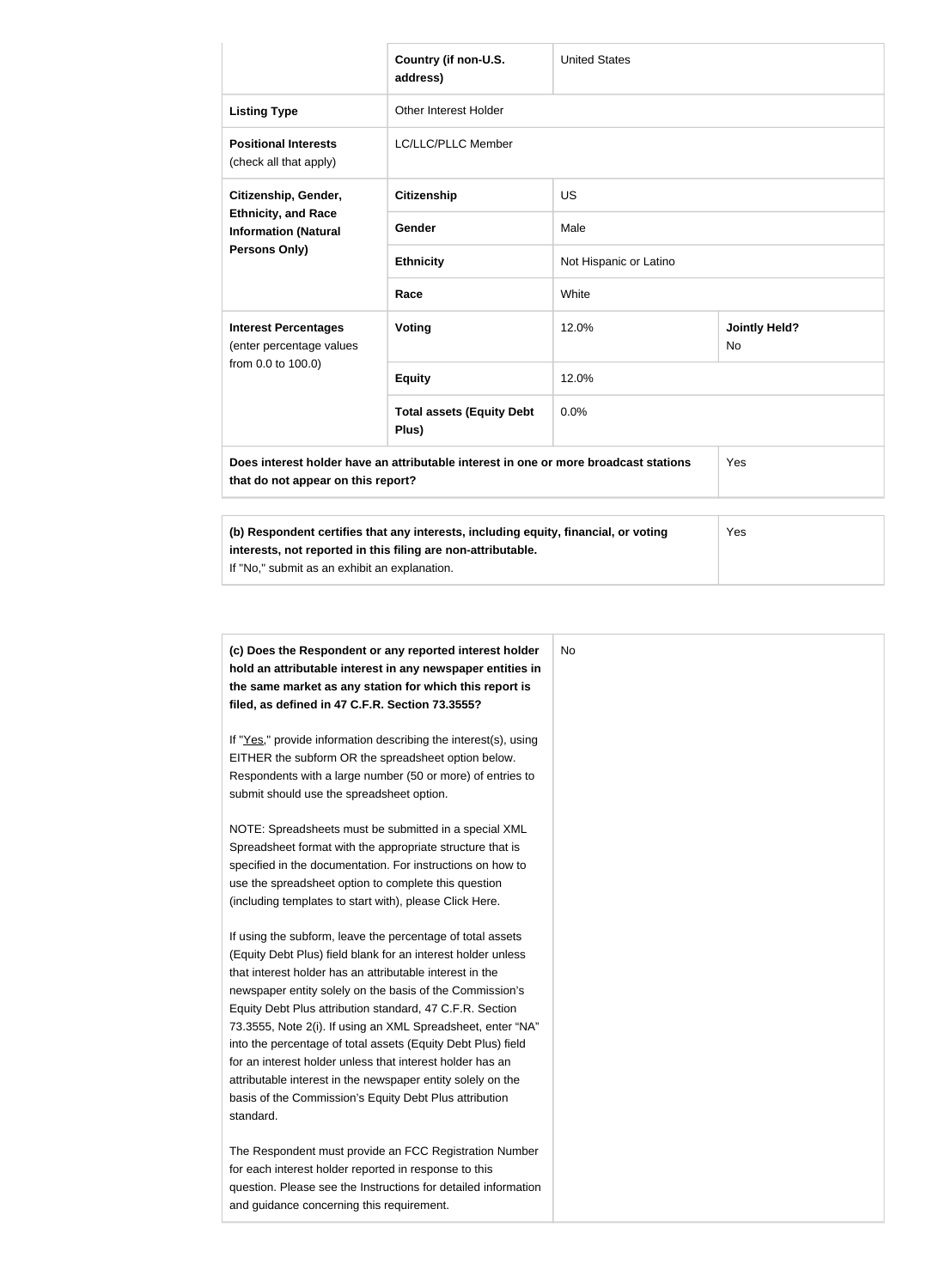|                                                                                                                                                                                                                                                                                                                          | Country (if non-U.S.<br>address)          | <b>United States</b>   |                            |
|--------------------------------------------------------------------------------------------------------------------------------------------------------------------------------------------------------------------------------------------------------------------------------------------------------------------------|-------------------------------------------|------------------------|----------------------------|
| <b>Listing Type</b>                                                                                                                                                                                                                                                                                                      | <b>Other Interest Holder</b>              |                        |                            |
| <b>Positional Interests</b><br>(check all that apply)                                                                                                                                                                                                                                                                    | LC/LLC/PLLC Member                        |                        |                            |
| Citizenship, Gender,<br><b>Ethnicity, and Race</b><br><b>Information (Natural</b><br>Persons Only)                                                                                                                                                                                                                       | <b>Citizenship</b>                        | <b>US</b>              |                            |
|                                                                                                                                                                                                                                                                                                                          | Gender                                    | Male                   |                            |
|                                                                                                                                                                                                                                                                                                                          | <b>Ethnicity</b>                          | Not Hispanic or Latino |                            |
|                                                                                                                                                                                                                                                                                                                          | Race                                      | White                  |                            |
| <b>Interest Percentages</b><br>(enter percentage values<br>from 0.0 to 100.0)                                                                                                                                                                                                                                            | Voting                                    | 12.0%                  | <b>Jointly Held?</b><br>No |
|                                                                                                                                                                                                                                                                                                                          | <b>Equity</b>                             | 12.0%                  |                            |
|                                                                                                                                                                                                                                                                                                                          | <b>Total assets (Equity Debt</b><br>Plus) | 0.0%                   |                            |
| Does interest holder have an attributable interest in one or more broadcast stations<br>that do not appear on this report?                                                                                                                                                                                               |                                           |                        | Yes                        |
| (b) Respondent certifies that any interests, including equity, financial, or voting<br>$\mathbf{A}$ and a set of the set of the set of the set of the set of the set of the set of the set of the set of the set of the set of the set of the set of the set of the set of the set of the set of the set of the set of t |                                           |                        | Yes                        |

**interests, not reported in this filing are non-attributable.**

If "No," submit as an exhibit an explanation.

| (c) Does the Respondent or any reported interest holder<br>hold an attributable interest in any newspaper entities in | No |
|-----------------------------------------------------------------------------------------------------------------------|----|
| the same market as any station for which this report is                                                               |    |
| filed, as defined in 47 C.F.R. Section 73.3555?                                                                       |    |
| If "Yes," provide information describing the interest(s), using                                                       |    |
| EITHER the subform OR the spreadsheet option below.                                                                   |    |
| Respondents with a large number (50 or more) of entries to                                                            |    |
| submit should use the spreadsheet option.                                                                             |    |
| NOTE: Spreadsheets must be submitted in a special XML                                                                 |    |
| Spreadsheet format with the appropriate structure that is                                                             |    |
| specified in the documentation. For instructions on how to                                                            |    |
| use the spreadsheet option to complete this question                                                                  |    |
| (including templates to start with), please Click Here.                                                               |    |
| If using the subform, leave the percentage of total assets                                                            |    |
| (Equity Debt Plus) field blank for an interest holder unless                                                          |    |
| that interest holder has an attributable interest in the                                                              |    |
| newspaper entity solely on the basis of the Commission's                                                              |    |
| Equity Debt Plus attribution standard, 47 C.F.R. Section                                                              |    |
| 73.3555, Note 2(i). If using an XML Spreadsheet, enter "NA"                                                           |    |
| into the percentage of total assets (Equity Debt Plus) field                                                          |    |
| for an interest holder unless that interest holder has an                                                             |    |
| attributable interest in the newspaper entity solely on the                                                           |    |
| basis of the Commission's Equity Debt Plus attribution                                                                |    |
| standard.                                                                                                             |    |
| The Respondent must provide an FCC Registration Number                                                                |    |
| for each interest holder reported in response to this                                                                 |    |
| question. Please see the Instructions for detailed information                                                        |    |
| and guidance concerning this requirement.                                                                             |    |